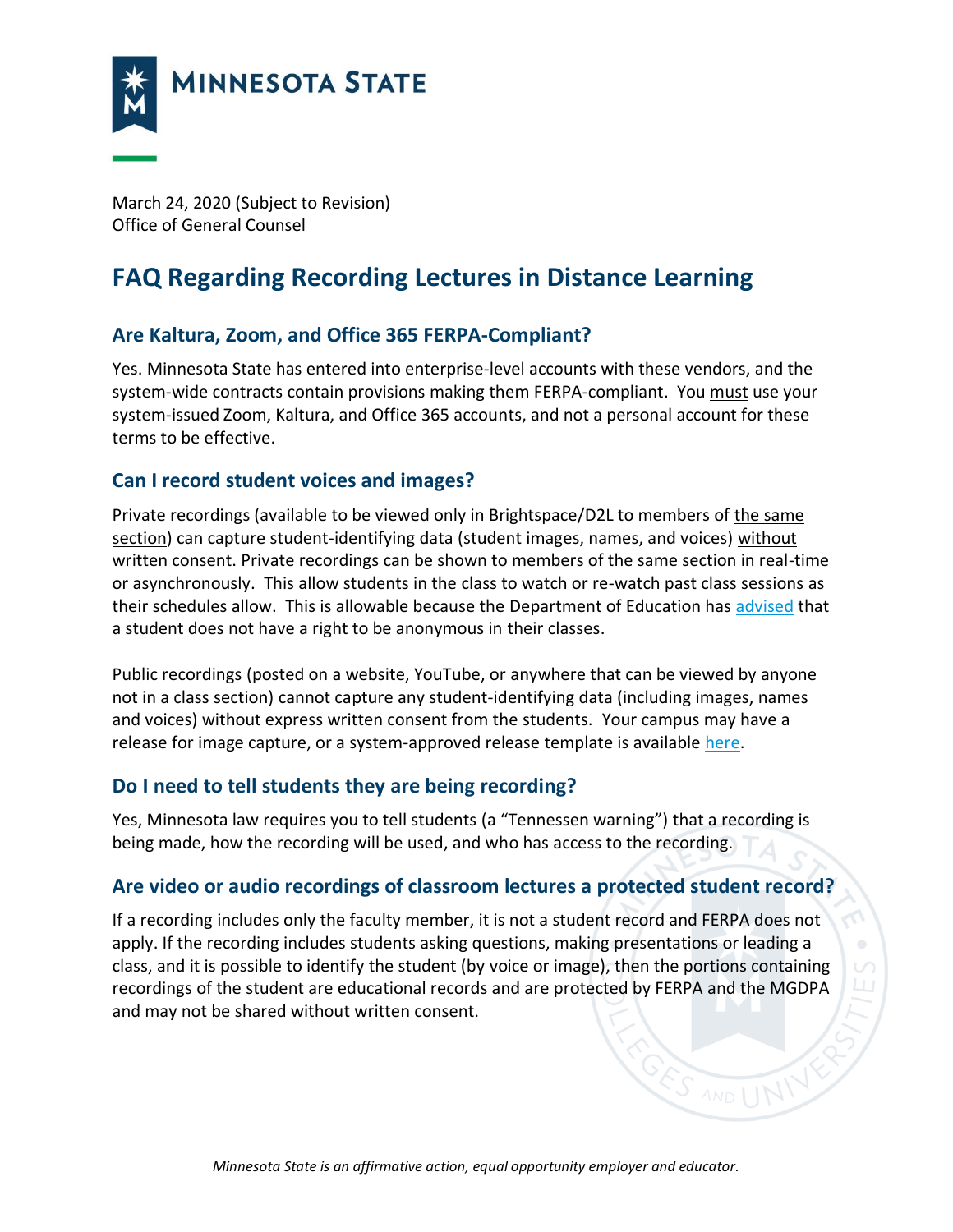

March 24, 2020 (Subject to Revision) Office of General Counsel

# **FAQ Regarding Recording Lectures in Distance Learning**

### **Are Kaltura, Zoom, and Office 365 FERPA-Compliant?**

Yes. Minnesota State has entered into enterprise-level accounts with these vendors, and the system-wide contracts contain provisions making them FERPA-compliant. You must use your system-issued Zoom, Kaltura, and Office 365 accounts, and not a personal account for these terms to be effective.

#### **Can I record student voices and images?**

Private recordings (available to be viewed only in Brightspace/D2L to members of the same section) can capture student-identifying data (student images, names, and voices) without written consent. Private recordings can be shown to members of the same section in real-time or asynchronously. This allow students in the class to watch or re-watch past class sessions as their schedules allow. This is allowable because the Department of Education has [advised](https://studentprivacy.ed.gov/faq/student-has-opted-out-directory-information-and-wants-be-anonymous-online-course-are-we-required) that a student does not have a right to be anonymous in their classes.

Public recordings (posted on a website, YouTube, or anywhere that can be viewed by anyone not in a class section) cannot capture any student-identifying data (including images, names and voices) without express written consent from the students. Your campus may have a release for image capture, or a system-approved release template is available [here.](https://www.minnstate.edu/system/ogc/dataprivacy/Model%20Image%20Release%20and%20Waiver%20w%20Tennessen%20Warning%2003.2018.docx)

#### **Do I need to tell students they are being recording?**

Yes, Minnesota law requires you to tell students (a "Tennessen warning") that a recording is being made, how the recording will be used, and who has access to the recording.

#### **Are video or audio recordings of classroom lectures a protected student record?**

If a recording includes only the faculty member, it is not a student record and FERPA does not apply. If the recording includes students asking questions, making presentations or leading a class, and it is possible to identify the student (by voice or image), then the portions containing recordings of the student are educational records and are protected by FERPA and the MGDPA and may not be shared without written consent.